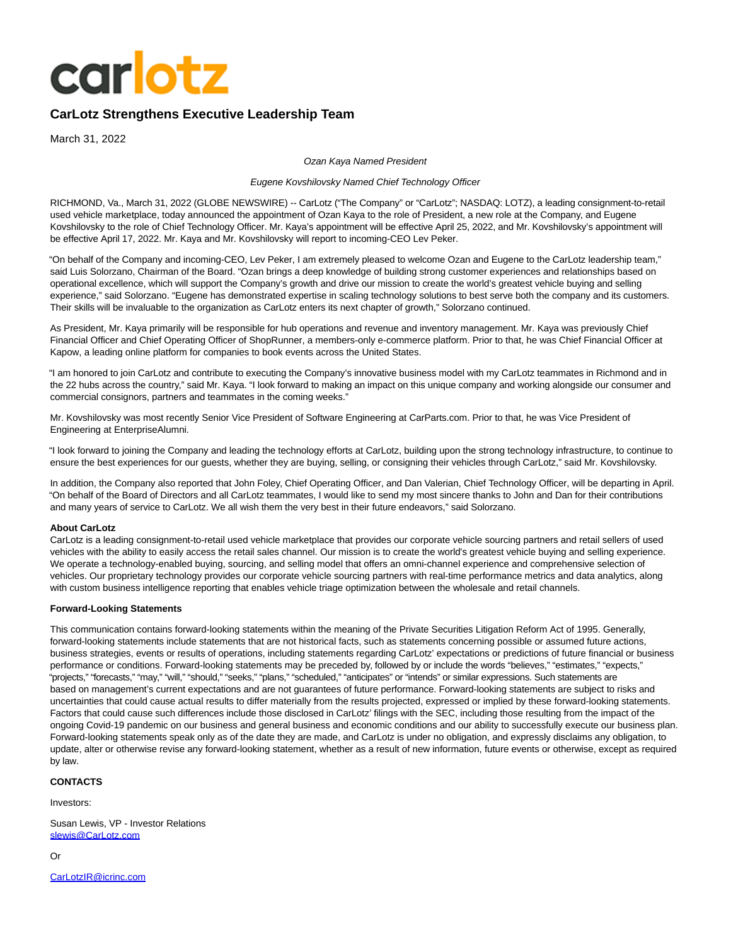

# **CarLotz Strengthens Executive Leadership Team**

March 31, 2022

Ozan Kaya Named President

#### Eugene Kovshilovsky Named Chief Technology Officer

RICHMOND, Va., March 31, 2022 (GLOBE NEWSWIRE) -- CarLotz ("The Company" or "CarLotz"; NASDAQ: LOTZ), a leading consignment-to-retail used vehicle marketplace, today announced the appointment of Ozan Kaya to the role of President, a new role at the Company, and Eugene Kovshilovsky to the role of Chief Technology Officer. Mr. Kaya's appointment will be effective April 25, 2022, and Mr. Kovshilovsky's appointment will be effective April 17, 2022. Mr. Kaya and Mr. Kovshilovsky will report to incoming-CEO Lev Peker.

"On behalf of the Company and incoming-CEO, Lev Peker, I am extremely pleased to welcome Ozan and Eugene to the CarLotz leadership team," said Luis Solorzano, Chairman of the Board. "Ozan brings a deep knowledge of building strong customer experiences and relationships based on operational excellence, which will support the Company's growth and drive our mission to create the world's greatest vehicle buying and selling experience," said Solorzano. "Eugene has demonstrated expertise in scaling technology solutions to best serve both the company and its customers. Their skills will be invaluable to the organization as CarLotz enters its next chapter of growth," Solorzano continued.

As President, Mr. Kaya primarily will be responsible for hub operations and revenue and inventory management. Mr. Kaya was previously Chief Financial Officer and Chief Operating Officer of ShopRunner, a members-only e-commerce platform. Prior to that, he was Chief Financial Officer at Kapow, a leading online platform for companies to book events across the United States.

"I am honored to join CarLotz and contribute to executing the Company's innovative business model with my CarLotz teammates in Richmond and in the 22 hubs across the country," said Mr. Kaya. "I look forward to making an impact on this unique company and working alongside our consumer and commercial consignors, partners and teammates in the coming weeks."

Mr. Kovshilovsky was most recently Senior Vice President of Software Engineering at CarParts.com. Prior to that, he was Vice President of Engineering at EnterpriseAlumni.

"I look forward to joining the Company and leading the technology efforts at CarLotz, building upon the strong technology infrastructure, to continue to ensure the best experiences for our guests, whether they are buying, selling, or consigning their vehicles through CarLotz," said Mr. Kovshilovsky.

In addition, the Company also reported that John Foley, Chief Operating Officer, and Dan Valerian, Chief Technology Officer, will be departing in April. "On behalf of the Board of Directors and all CarLotz teammates, I would like to send my most sincere thanks to John and Dan for their contributions and many years of service to CarLotz. We all wish them the very best in their future endeavors," said Solorzano.

## **About CarLotz**

CarLotz is a leading consignment-to-retail used vehicle marketplace that provides our corporate vehicle sourcing partners and retail sellers of used vehicles with the ability to easily access the retail sales channel. Our mission is to create the world's greatest vehicle buying and selling experience. We operate a technology-enabled buying, sourcing, and selling model that offers an omni-channel experience and comprehensive selection of vehicles. Our proprietary technology provides our corporate vehicle sourcing partners with real-time performance metrics and data analytics, along with custom business intelligence reporting that enables vehicle triage optimization between the wholesale and retail channels.

### **Forward-Looking Statements**

This communication contains forward-looking statements within the meaning of the Private Securities Litigation Reform Act of 1995. Generally, forward-looking statements include statements that are not historical facts, such as statements concerning possible or assumed future actions, business strategies, events or results of operations, including statements regarding CarLotz' expectations or predictions of future financial or business performance or conditions. Forward-looking statements may be preceded by, followed by or include the words "believes," "estimates," "expects," "projects," "forecasts," "may," "will," "should," "seeks," "plans," "scheduled," "anticipates" or "intends" or similar expressions. Such statements are based on management's current expectations and are not guarantees of future performance. Forward-looking statements are subject to risks and uncertainties that could cause actual results to differ materially from the results projected, expressed or implied by these forward-looking statements. Factors that could cause such differences include those disclosed in CarLotz' filings with the SEC, including those resulting from the impact of the ongoing Covid-19 pandemic on our business and general business and economic conditions and our ability to successfully execute our business plan. Forward-looking statements speak only as of the date they are made, and CarLotz is under no obligation, and expressly disclaims any obligation, to update, alter or otherwise revise any forward-looking statement, whether as a result of new information, future events or otherwise, except as required by law.

# **CONTACTS**

Investors:

Susan Lewis, VP - Investor Relations [slewis@CarLotz.com](https://www.globenewswire.com/Tracker?data=aGzulz8ZdKFEY_DxpWJqORANwQmp3MOeFNgjl-R3KB2kDEZPRuIK6h5PiSK-4HsKfu5WvzpI524qj1a92dJcXq_kBB_jAznAjbjjgt_l8lM=)

Or

[CarLotzIR@icrinc.com](https://www.globenewswire.com/Tracker?data=pX5dUOwgK39WAfkYwkk7G8l41SUFr410mXjqQ2LvWRiWnnvRb5ozBnd_8EIzdLb_XjzCw0YQWIZZRwkDxXM3gjKleBVZxJg5b7_e1nISAU8=)